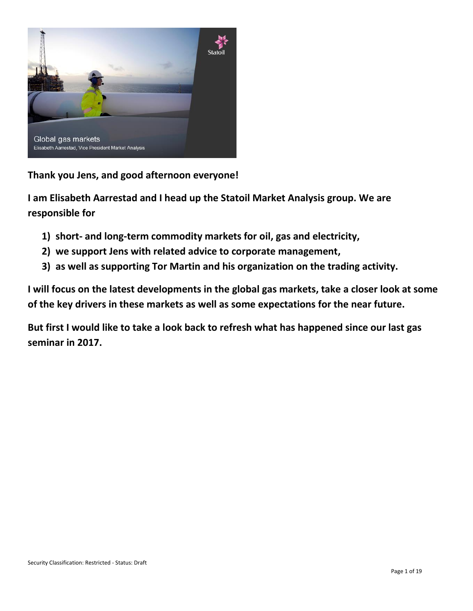

**Thank you Jens, and good afternoon everyone!**

**I am Elisabeth Aarrestad and I head up the Statoil Market Analysis group. We are responsible for**

- **1) short- and long-term commodity markets for oil, gas and electricity,**
- **2) we support Jens with related advice to corporate management,**
- **3) as well as supporting Tor Martin and his organization on the trading activity.**

**I will focus on the latest developments in the global gas markets, take a closer look at some of the key drivers in these markets as well as some expectations for the near future.**

**But first I would like to take a look back to refresh what has happened since our last gas seminar in 2017.**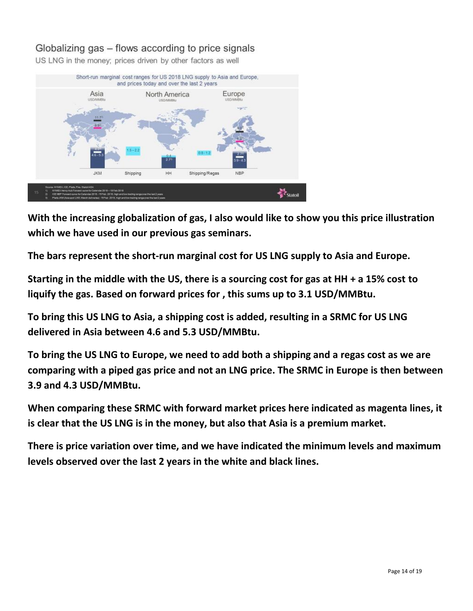# Globalizing gas – flows according to price signals

US LNG in the money; prices driven by other factors as well



**With the increasing globalization of gas, I also would like to show you this price illustration which we have used in our previous gas seminars.** 

**The bars represent the short-run marginal cost for US LNG supply to Asia and Europe.** 

**Starting in the middle with the US, there is a sourcing cost for gas at HH + a 15% cost to liquify the gas. Based on forward prices for , this sums up to 3.1 USD/MMBtu.** 

**To bring this US LNG to Asia, a shipping cost is added, resulting in a SRMC for US LNG delivered in Asia between 4.6 and 5.3 USD/MMBtu.** 

**To bring the US LNG to Europe, we need to add both a shipping and a regas cost as we are comparing with a piped gas price and not an LNG price. The SRMC in Europe is then between 3.9 and 4.3 USD/MMBtu.** 

**When comparing these SRMC with forward market prices here indicated as magenta lines, it is clear that the US LNG is in the money, but also that Asia is a premium market.** 

**There is price variation over time, and we have indicated the minimum levels and maximum levels observed over the last 2 years in the white and black lines.**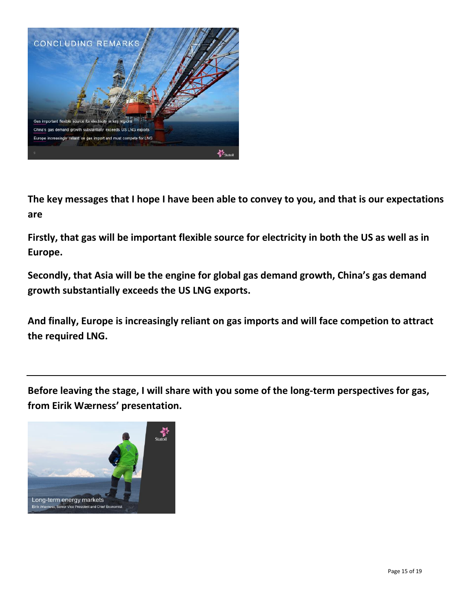

**The key messages that I hope I have been able to convey to you, and that is our expectations are**

**Firstly, that gas will be important flexible source for electricity in both the US as well as in Europe.**

**Secondly, that Asia will be the engine for global gas demand growth, China's gas demand growth substantially exceeds the US LNG exports.**

**And finally, Europe is increasingly reliant on gas imports and will face competion to attract the required LNG.**

**Before leaving the stage, I will share with you some of the long-term perspectives for gas, from Eirik Wærness' presentation.**

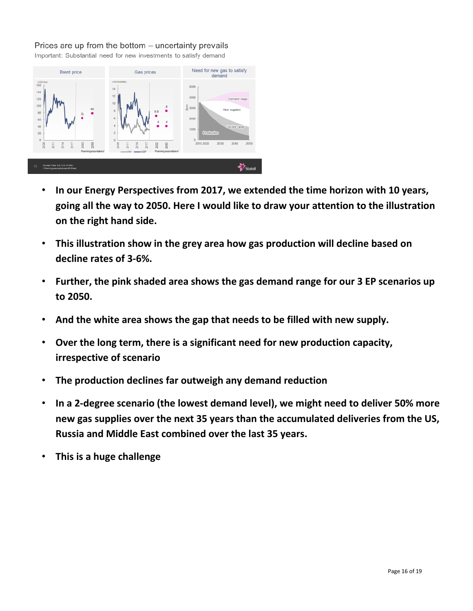#### Prices are up from the bottom – uncertainty prevails

Important: Substantial need for new investments to satisfy demand



- **In our Energy Perspectives from 2017, we extended the time horizon with 10 years, going all the way to 2050. Here I would like to draw your attention to the illustration on the right hand side.**
- **This illustration show in the grey area how gas production will decline based on decline rates of 3-6%.**
- **Further, the pink shaded area shows the gas demand range for our 3 EP scenarios up to 2050.**
- **And the white area shows the gap that needs to be filled with new supply.**
- **Over the long term, there is a significant need for new production capacity, irrespective of scenario**
- **The production declines far outweigh any demand reduction**
- **In a 2-degree scenario (the lowest demand level), we might need to deliver 50% more new gas supplies over the next 35 years than the accumulated deliveries from the US, Russia and Middle East combined over the last 35 years.**
- **This is a huge challenge**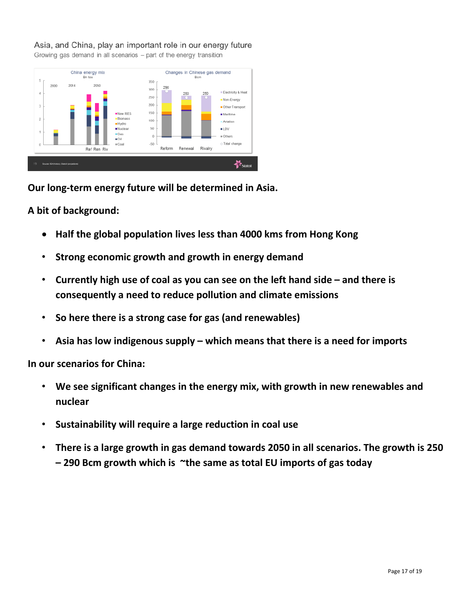#### Asia, and China, play an important role in our energy future

Growing gas demand in all scenarios - part of the energy transition



**Our long-term energy future will be determined in Asia.**

## **A bit of background:**

- **Half the global population lives less than 4000 kms from Hong Kong**
- **Strong economic growth and growth in energy demand**
- **Currently high use of coal as you can see on the left hand side – and there is consequently a need to reduce pollution and climate emissions**
- **So here there is a strong case for gas (and renewables)**
- **Asia has low indigenous supply – which means that there is a need for imports**

**In our scenarios for China:**

- **We see significant changes in the energy mix, with growth in new renewables and nuclear**
- **Sustainability will require a large reduction in coal use**
- **There is a large growth in gas demand towards 2050 in all scenarios. The growth is 250 – 290 Bcm growth which is ~the same as total EU imports of gas today**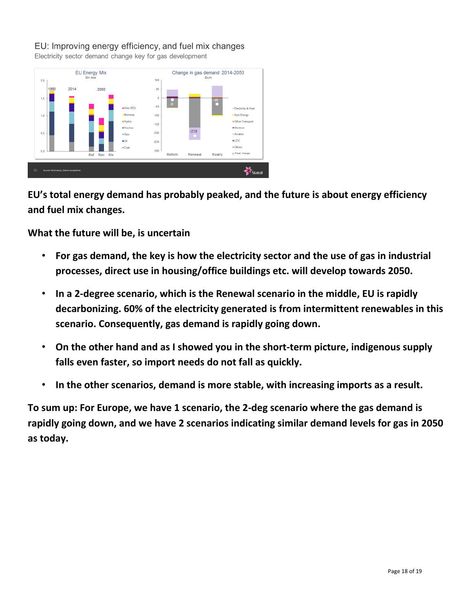### EU: Improving energy efficiency, and fuel mix changes

Electricity sector demand change key for gas development



**EU's total energy demand has probably peaked, and the future is about energy efficiency and fuel mix changes.**

**What the future will be, is uncertain**

- **For gas demand, the key is how the electricity sector and the use of gas in industrial processes, direct use in housing/office buildings etc. will develop towards 2050.**
- **In a 2-degree scenario, which is the Renewal scenario in the middle, EU is rapidly decarbonizing. 60% of the electricity generated is from intermittent renewables in this scenario. Consequently, gas demand is rapidly going down.**
- **On the other hand and as I showed you in the short-term picture, indigenous supply falls even faster, so import needs do not fall as quickly.**
- **In the other scenarios, demand is more stable, with increasing imports as a result.**

**To sum up: For Europe, we have 1 scenario, the 2-deg scenario where the gas demand is rapidly going down, and we have 2 scenarios indicating similar demand levels for gas in 2050 as today.**